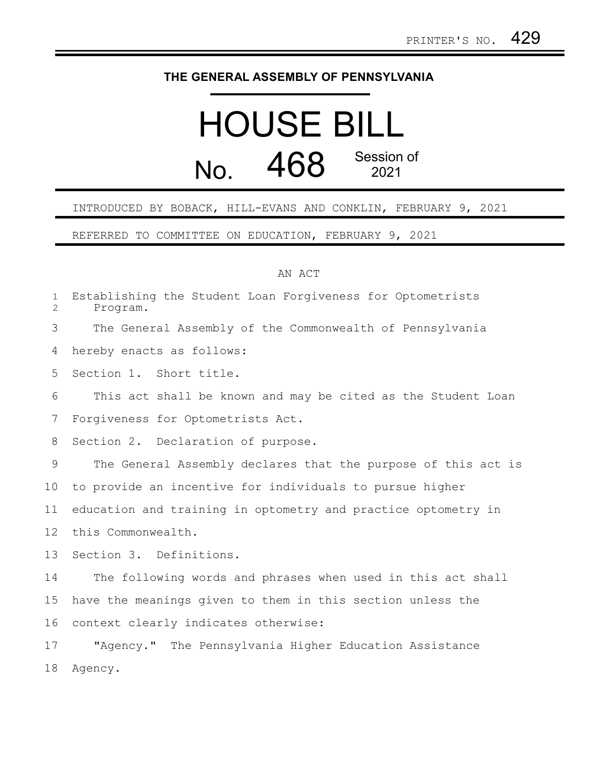## **THE GENERAL ASSEMBLY OF PENNSYLVANIA**

## HOUSE BILL No. 468 Session of

## INTRODUCED BY BOBACK, HILL-EVANS AND CONKLIN, FEBRUARY 9, 2021

REFERRED TO COMMITTEE ON EDUCATION, FEBRUARY 9, 2021

## AN ACT

| $\mathbf{1}$<br>$\overline{2}$ | Establishing the Student Loan Forgiveness for Optometrists<br>Program. |
|--------------------------------|------------------------------------------------------------------------|
| 3                              | The General Assembly of the Commonwealth of Pennsylvania               |
| 4                              | hereby enacts as follows:                                              |
| 5                              | Section 1. Short title.                                                |
| 6                              | This act shall be known and may be cited as the Student Loan           |
| 7                              | Forgiveness for Optometrists Act.                                      |
| 8                              | Section 2. Declaration of purpose.                                     |
| 9                              | The General Assembly declares that the purpose of this act is          |
| 10                             | to provide an incentive for individuals to pursue higher               |
| 11                             | education and training in optometry and practice optometry in          |
| 12                             | this Commonwealth.                                                     |
| 13                             | Section 3. Definitions.                                                |
| 14                             | The following words and phrases when used in this act shall            |
| 15                             | have the meanings given to them in this section unless the             |
| 16                             | context clearly indicates otherwise:                                   |
| 17                             | "Agency." The Pennsylvania Higher Education Assistance                 |
| 18                             | Agency.                                                                |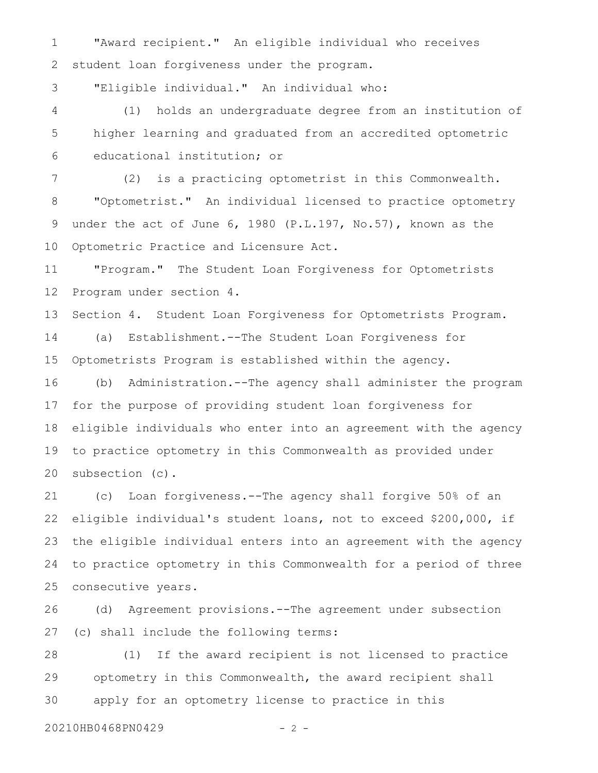"Award recipient." An eligible individual who receives student loan forgiveness under the program. 1 2

"Eligible individual." An individual who: 3

(1) holds an undergraduate degree from an institution of higher learning and graduated from an accredited optometric educational institution; or 4 5 6

(2) is a practicing optometrist in this Commonwealth. "Optometrist." An individual licensed to practice optometry under the act of June 6, 1980 (P.L.197, No.57), known as the Optometric Practice and Licensure Act. 7 8 9 10

"Program." The Student Loan Forgiveness for Optometrists Program under section 4. 11 12

Section 4. Student Loan Forgiveness for Optometrists Program. 13

(a) Establishment.--The Student Loan Forgiveness for Optometrists Program is established within the agency. 14 15

(b) Administration.--The agency shall administer the program for the purpose of providing student loan forgiveness for eligible individuals who enter into an agreement with the agency to practice optometry in this Commonwealth as provided under subsection (c). 16 17 18 19 20

(c) Loan forgiveness.--The agency shall forgive 50% of an eligible individual's student loans, not to exceed \$200,000, if the eligible individual enters into an agreement with the agency to practice optometry in this Commonwealth for a period of three consecutive years. 21 22 23 24 25

(d) Agreement provisions.--The agreement under subsection (c) shall include the following terms: 26 27

(1) If the award recipient is not licensed to practice optometry in this Commonwealth, the award recipient shall apply for an optometry license to practice in this 28 29 30

20210HB0468PN0429 - 2 -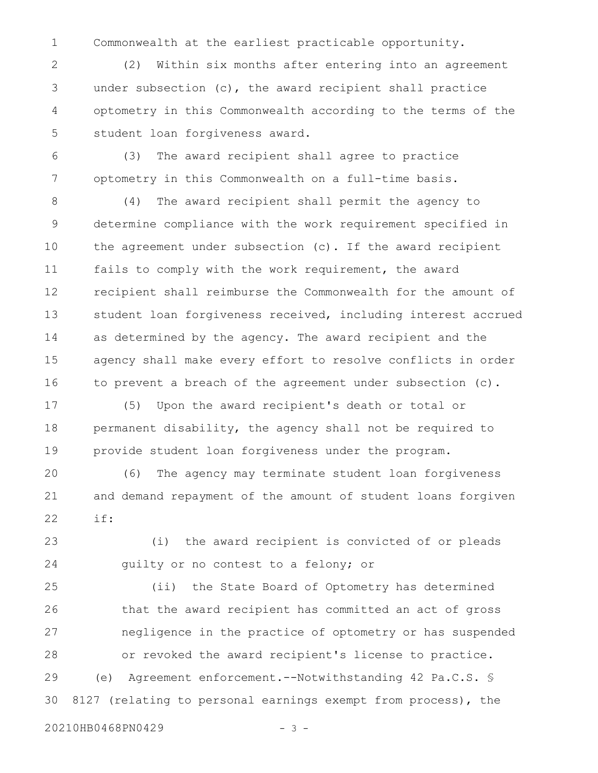Commonwealth at the earliest practicable opportunity. 1

(2) Within six months after entering into an agreement under subsection (c), the award recipient shall practice optometry in this Commonwealth according to the terms of the student loan forgiveness award. 2 3 4 5

(3) The award recipient shall agree to practice optometry in this Commonwealth on a full-time basis. 6 7

(4) The award recipient shall permit the agency to determine compliance with the work requirement specified in the agreement under subsection (c). If the award recipient fails to comply with the work requirement, the award recipient shall reimburse the Commonwealth for the amount of student loan forgiveness received, including interest accrued as determined by the agency. The award recipient and the agency shall make every effort to resolve conflicts in order to prevent a breach of the agreement under subsection (c). 8 9 10 11 12 13 14 15 16

(5) Upon the award recipient's death or total or permanent disability, the agency shall not be required to provide student loan forgiveness under the program. 17 18 19

(6) The agency may terminate student loan forgiveness and demand repayment of the amount of student loans forgiven if: 20 21 22

(i) the award recipient is convicted of or pleads guilty or no contest to a felony; or 23 24

(ii) the State Board of Optometry has determined that the award recipient has committed an act of gross negligence in the practice of optometry or has suspended or revoked the award recipient's license to practice. (e) Agreement enforcement.--Notwithstanding 42 Pa.C.S. § 8127 (relating to personal earnings exempt from process), the 25 26 27 28 29 30

20210HB0468PN0429 - 3 -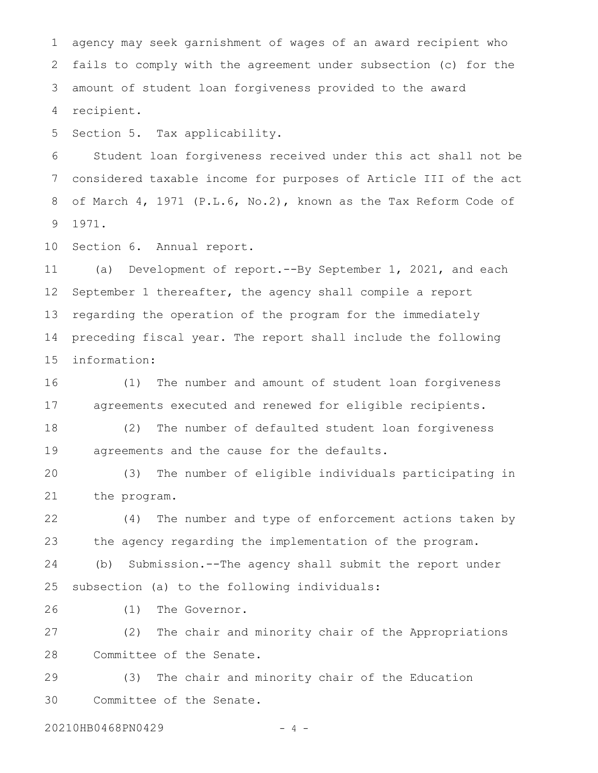agency may seek garnishment of wages of an award recipient who fails to comply with the agreement under subsection (c) for the amount of student loan forgiveness provided to the award recipient. 1 2 3 4

Section 5. Tax applicability. 5

Student loan forgiveness received under this act shall not be considered taxable income for purposes of Article III of the act of March 4, 1971 (P.L.6, No.2), known as the Tax Reform Code of 1971. 6 7 8 9

Section 6. Annual report. 10

(a) Development of report.--By September 1, 2021, and each September 1 thereafter, the agency shall compile a report regarding the operation of the program for the immediately preceding fiscal year. The report shall include the following information: 11 12 13 14 15

(1) The number and amount of student loan forgiveness agreements executed and renewed for eligible recipients. 16 17

(2) The number of defaulted student loan forgiveness agreements and the cause for the defaults. 18 19

(3) The number of eligible individuals participating in the program. 20 21

(4) The number and type of enforcement actions taken by the agency regarding the implementation of the program. (b) Submission.--The agency shall submit the report under 22 23 24

subsection (a) to the following individuals: 25

(1) The Governor. 26

(2) The chair and minority chair of the Appropriations Committee of the Senate. 27 28

(3) The chair and minority chair of the Education Committee of the Senate. 29 30

20210HB0468PN0429 - 4 -